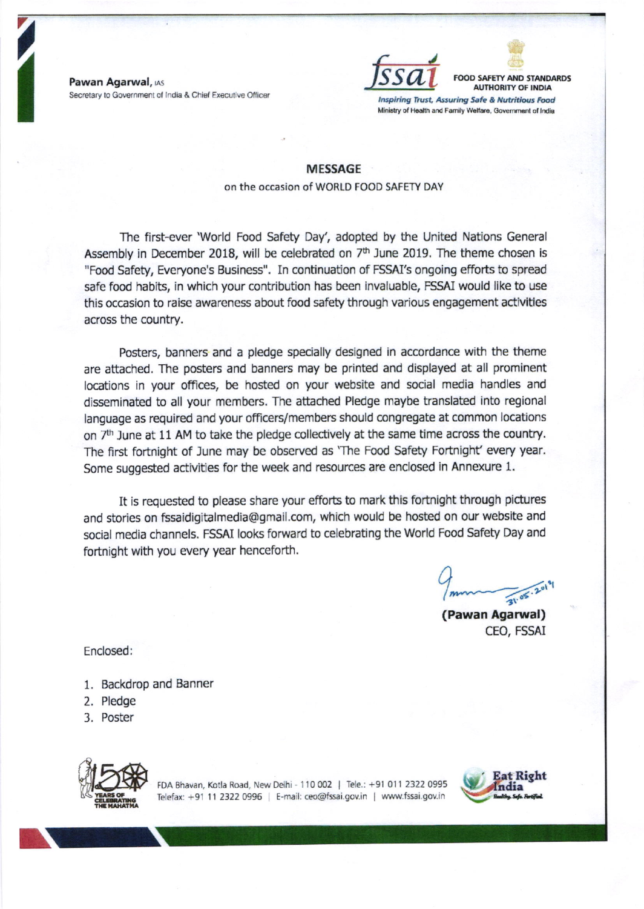Pawan Agarwal, IAS Secretary to Government of India & Chief Executive Officer



FOOD SAFETY AND STANDARDS **AUTHORITY OF INDIA** 

Inspiring Trust, Assuring Safe & Nutritious Food Ministry of Health and Family Welfare, Government of India

## MESSAGE on the occasion of WORLD FOOD SAFETY DAY

The first-ever 'World Food Safety Day', adopted by the United Nations General Assembly in December 2018, will be celebrated on  $7<sup>th</sup>$  June 2019. The theme chosen is "Food Safety, Everyone's Business". In continuation of FSSAI's ongoing efforts to spread safe food habits, in which your contribution has been invaluable, FSSAI would like to use this occasion to raise awareness about food safety through various engagement activitles across the country.

Posters, banners and a pledge specially designed in accordance with the theme are attached. The posters and banners may be printed and displayed at all prominent locations in your offices, be hosted on your website and social media handles and disseminated to all your members. The attached Pledge maybe translated into regional language as required and your officers/members should congregate at common locations on 7<sup>th</sup> June at 11 AM to take the pledge collectively at the same time across the country. The first fortnight of June may be observed as 'The Food Safety Fortnight' every year. Some suggested activities for the week and resources are enclosed in Annexure 1.

It is requested to please share your efforts to mark this fortnight through pictures and stories on fssaidigitalmedia@gmail.com, which would be hosted on our website and social media channels. FSSAI looks forward to celebrating the World Food Safety Day and fortnight with you every year henceforth.

 $2019$  $\mathbf{a}$ 

(Pawan Agarwal) CEO, FSSAI

Enclosed:

- 1. Backdrop and Banner
- 2. Pledge
- 3. Poster



FDA Bhavan, Kotla Road, New Delhi - 110 002 | Tele.: +91 011 2322 0995 Telefax: +91 11 2322 0996 | E-mail: ceo@fssai.gov.in | www.fssai.gov.in